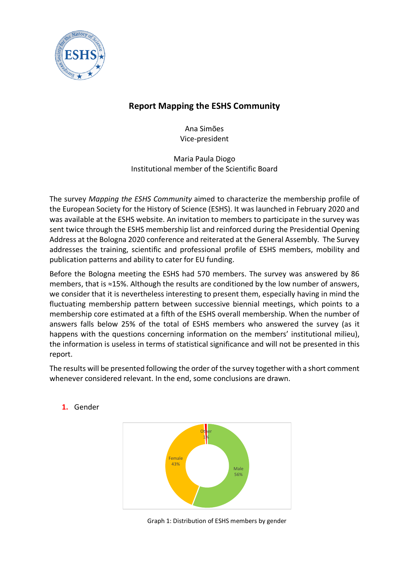

# **Report Mapping the ESHS Community**

Ana Simões Vice-president

Maria Paula Diogo Institutional member of the Scientific Board

The survey *Mapping the ESHS Community* aimed to characterize the membership profile of the European Society for the History of Science (ESHS). It was launched in February 2020 and was available at the ESHS website. An invitation to members to participate in the survey was sent twice through the ESHS membership list and reinforced during the Presidential Opening Address at the Bologna 2020 conference and reiterated at the General Assembly. The Survey addresses the training, scientific and professional profile of ESHS members, mobility and publication patterns and ability to cater for EU funding.

Before the Bologna meeting the ESHS had 570 members. The survey was answered by 86 members, that is ≈15%. Although the results are conditioned by the low number of answers, we consider that it is nevertheless interesting to present them, especially having in mind the fluctuating membership pattern between successive biennial meetings, which points to a membership core estimated at a fifth of the ESHS overall membership. When the number of answers falls below 25% of the total of ESHS members who answered the survey (as it happens with the questions concerning information on the members' institutional milieu), the information is useless in terms of statistical significance and will not be presented in this report.

The results will be presented following the order of the survey together with a short comment whenever considered relevant. In the end, some conclusions are drawn.



# **1.** Gender

Graph 1: Distribution of ESHS members by gender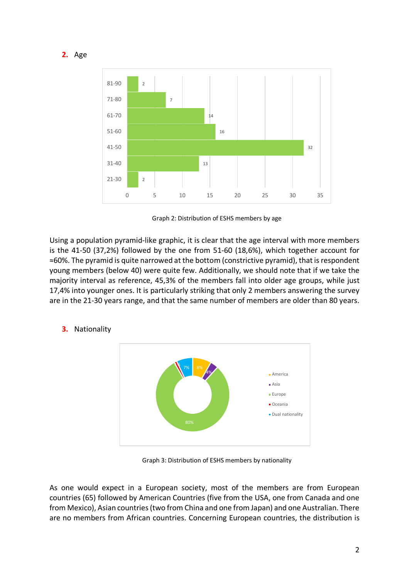

Graph 2: Distribution of ESHS members by age

Using a population pyramid-like graphic, it is clear that the age interval with more members is the 41-50 (37,2%) followed by the one from 51-60 (18,6%), which together account for ≈60%. The pyramid is quite narrowed at the bottom (constrictive pyramid), that is respondent young members (below 40) were quite few. Additionally, we should note that if we take the majority interval as reference, 45,3% of the members fall into older age groups, while just 17,4% into younger ones. It is particularly striking that only 2 members answering the survey are in the 21-30 years range, and that the same number of members are older than 80 years.



# **3.** Nationality

Graph 3: Distribution of ESHS members by nationality

As one would expect in a European society, most of the members are from European countries (65) followed by American Countries (five from the USA, one from Canada and one from Mexico), Asian countries (two from China and one from Japan) and one Australian. There are no members from African countries. Concerning European countries, the distribution is

**2.** Age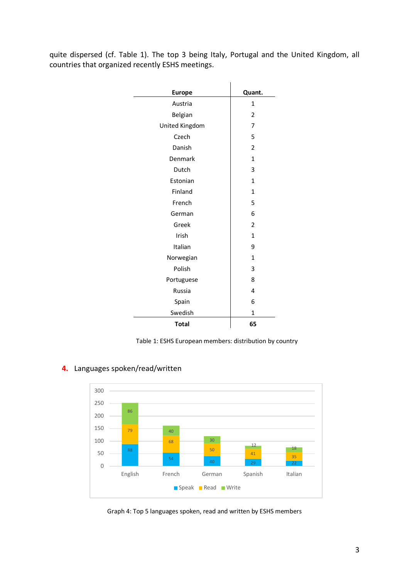quite dispersed (cf. Table 1). The top 3 being Italy, Portugal and the United Kingdom, all countries that organized recently ESHS meetings.

| <b>Europe</b>  | Quant.         |
|----------------|----------------|
| Austria        | $\mathbf{1}$   |
| Belgian        | 2              |
| United Kingdom | 7              |
| Czech          | 5              |
| Danish         | $\overline{2}$ |
| Denmark        | $\mathbf{1}$   |
| Dutch          | 3              |
| Estonian       | $\mathbf{1}$   |
| Finland        | 1              |
| French         | 5              |
| German         | 6              |
|                |                |
| Greek          | $\overline{2}$ |
| Irish          | $\mathbf{1}$   |
| Italian        | 9              |
| Norwegian      | $\mathbf{1}$   |
| Polish         | 3              |
| Portuguese     | 8              |
| Russia         | 4              |
| Spain          | 6              |
| Swedish        | $\mathbf 1$    |
| <b>Total</b>   | 65             |

Table 1: ESHS European members: distribution by country



# **4.** Languages spoken/read/written

Graph 4: Top 5 languages spoken, read and written by ESHS members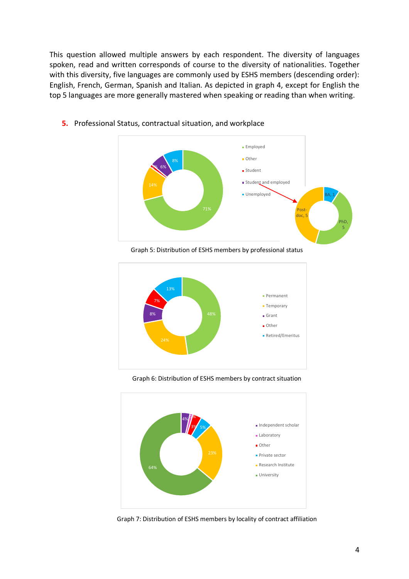This question allowed multiple answers by each respondent. The diversity of languages spoken, read and written corresponds of course to the diversity of nationalities. Together with this diversity, five languages are commonly used by ESHS members (descending order): English, French, German, Spanish and Italian. As depicted in graph 4, except for English the top 5 languages are more generally mastered when speaking or reading than when writing.



**5.** Professional Status, contractual situation, and workplace

Graph 5: Distribution of ESHS members by professional status



Graph 6: Distribution of ESHS members by contract situation



Graph 7: Distribution of ESHS members by locality of contract affiliation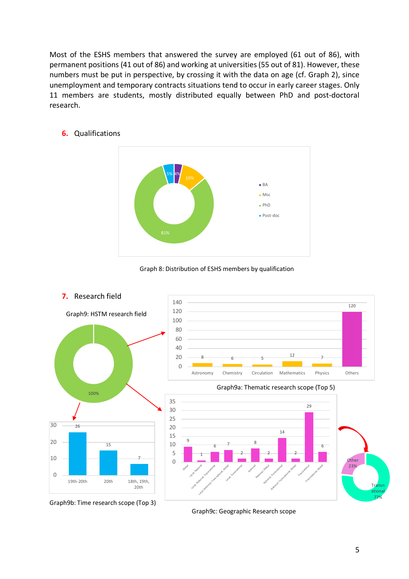Most of the ESHS members that answered the survey are employed (61 out of 86), with permanent positions (41 out of 86) and working at universities (55 out of 81). However, these numbers must be put in perspective, by crossing it with the data on age (cf. Graph 2), since unemployment and temporary contracts situations tend to occur in early career stages. Only 11 members are students, mostly distributed equally between PhD and post-doctoral research.



# **6.** Qualifications





Graph9c: Geographic Research scope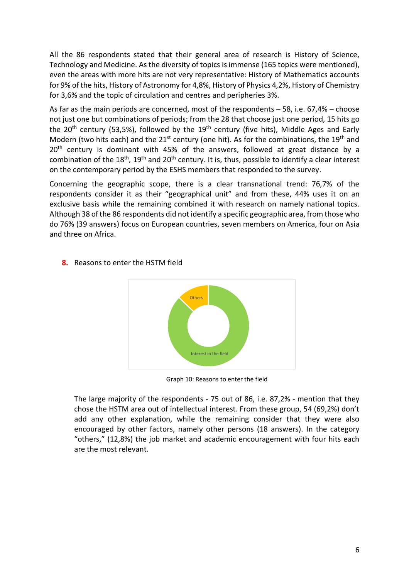All the 86 respondents stated that their general area of research is History of Science, Technology and Medicine. As the diversity of topics is immense (165 topics were mentioned), even the areas with more hits are not very representative: History of Mathematics accounts for 9% of the hits, History of Astronomy for 4,8%, History of Physics 4,2%, History of Chemistry for 3,6% and the topic of circulation and centres and peripheries 3%.

As far as the main periods are concerned, most of the respondents – 58, i.e. 67,4% – choose not just one but combinations of periods; from the 28 that choose just one period, 15 hits go the 20<sup>th</sup> century (53,5%), followed by the 19<sup>th</sup> century (five hits), Middle Ages and Early Modern (two hits each) and the  $21^{st}$  century (one hit). As for the combinations, the  $19^{th}$  and 20<sup>th</sup> century is dominant with 45% of the answers, followed at great distance by a combination of the  $18<sup>th</sup>$ ,  $19<sup>th</sup>$  and  $20<sup>th</sup>$  century. It is, thus, possible to identify a clear interest on the contemporary period by the ESHS members that responded to the survey.

Concerning the geographic scope, there is a clear transnational trend: 76,7% of the respondents consider it as their "geographical unit" and from these, 44% uses it on an exclusive basis while the remaining combined it with research on namely national topics. Although 38 of the 86 respondents did not identify a specific geographic area, from those who do 76% (39 answers) focus on European countries, seven members on America, four on Asia and three on Africa.



**8.** Reasons to enter the HSTM field

Graph 10: Reasons to enter the field

The large majority of the respondents - 75 out of 86, i.e. 87,2% - mention that they chose the HSTM area out of intellectual interest. From these group, 54 (69,2%) don't add any other explanation, while the remaining consider that they were also encouraged by other factors, namely other persons (18 answers). In the category "others," (12,8%) the job market and academic encouragement with four hits each are the most relevant.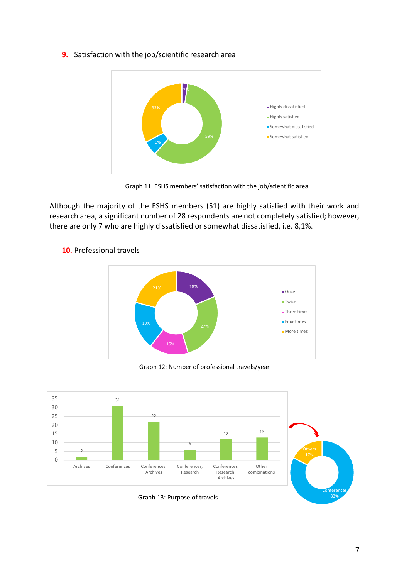### **9.** Satisfaction with the job/scientific research area



Graph 11: ESHS members' satisfaction with the job/scientific area

Although the majority of the ESHS members (51) are highly satisfied with their work and research area, a significant number of 28 respondents are not completely satisfied; however, there are only 7 who are highly dissatisfied or somewhat dissatisfied, i.e. 8,1%.



# **10.** Professional travels

Graph 12: Number of professional travels/year

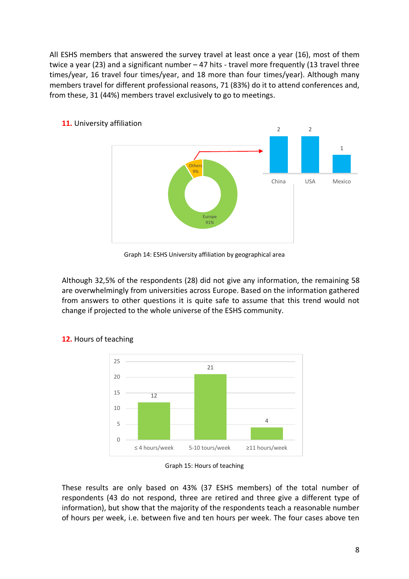All ESHS members that answered the survey travel at least once a year (16), most of them twice a year (23) and a significant number – 47 hits - travel more frequently (13 travel three times/year, 16 travel four times/year, and 18 more than four times/year). Although many members travel for different professional reasons, 71 (83%) do it to attend conferences and, from these, 31 (44%) members travel exclusively to go to meetings.



Graph 14: ESHS University affiliation by geographical area

Although 32,5% of the respondents (28) did not give any information, the remaining 58 are overwhelmingly from universities across Europe. Based on the information gathered from answers to other questions it is quite safe to assume that this trend would not change if projected to the whole universe of the ESHS community.



# **12.** Hours of teaching

These results are only based on 43% (37 ESHS members) of the total number of respondents (43 do not respond, three are retired and three give a different type of information), but show that the majority of the respondents teach a reasonable number of hours per week, i.e. between five and ten hours per week. The four cases above ten

Graph 15: Hours of teaching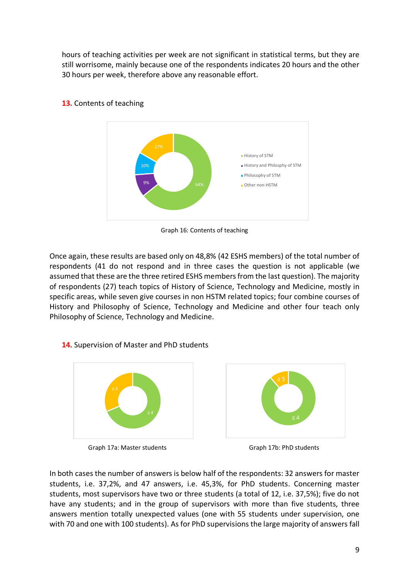hours of teaching activities per week are not significant in statistical terms, but they are still worrisome, mainly because one of the respondents indicates 20 hours and the other 30 hours per week, therefore above any reasonable effort.



# **13.** Contents of teaching

Graph 16: Contents of teaching

Once again, these results are based only on 48,8% (42 ESHS members) of the total number of respondents (41 do not respond and in three cases the question is not applicable (we assumed that these are the three retired ESHS members from the last question). The majority of respondents (27) teach topics of History of Science, Technology and Medicine, mostly in specific areas, while seven give courses in non HSTM related topics; four combine courses of History and Philosophy of Science, Technology and Medicine and other four teach only Philosophy of Science, Technology and Medicine.

# **14.** Supervision of Master and PhD students



Graph 17a: Master students Graph 17b: PhD students





In both cases the number of answers is below half of the respondents: 32 answers for master students, i.e. 37,2%, and 47 answers, i.e. 45,3%, for PhD students. Concerning master students, most supervisors have two or three students (a total of 12, i.e. 37,5%); five do not have any students; and in the group of supervisors with more than five students, three answers mention totally unexpected values (one with 55 students under supervision, one with 70 and one with 100 students). As for PhD supervisions the large majority of answers fall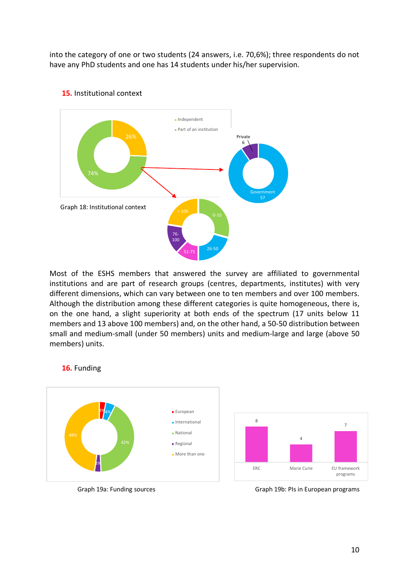into the category of one or two students (24 answers, i.e. 70,6%); three respondents do not have any PhD students and one has 14 students under his/her supervision.



### **15.** Institutional context

Most of the ESHS members that answered the survey are affiliated to governmental institutions and are part of research groups (centres, departments, institutes) with very different dimensions, which can vary between one to ten members and over 100 members. Although the distribution among these different categories is quite homogeneous, there is, on the one hand, a slight superiority at both ends of the spectrum (17 units below 11 members and 13 above 100 members) and, on the other hand, a 50-50 distribution between small and medium-small (under 50 members) units and medium-large and large (above 50 members) units.



#### **16.** Funding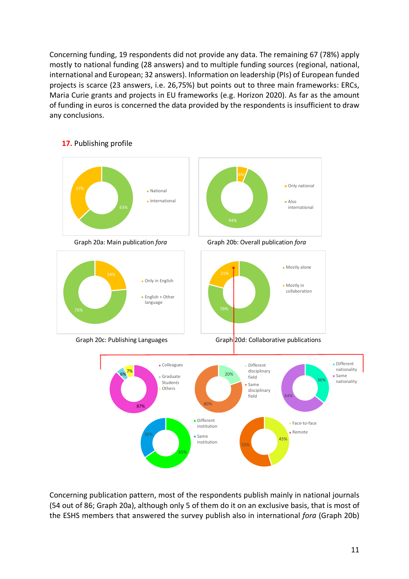Concerning funding, 19 respondents did not provide any data. The remaining 67 (78%) apply mostly to national funding (28 answers) and to multiple funding sources (regional, national, international and European; 32 answers). Information on leadership (PIs) of European funded projects is scarce (23 answers, i.e. 26,75%) but points out to three main frameworks: ERCs, Maria Curie grants and projects in EU frameworks (e.g. Horizon 2020). As far as the amount of funding in euros is concerned the data provided by the respondents is insufficient to draw any conclusions.



### **17.** Publishing profile

Concerning publication pattern, most of the respondents publish mainly in national journals (54 out of 86; Graph 20a), although only 5 of them do it on an exclusive basis, that is most of the ESHS members that answered the survey publish also in international *fora* (Graph 20b)